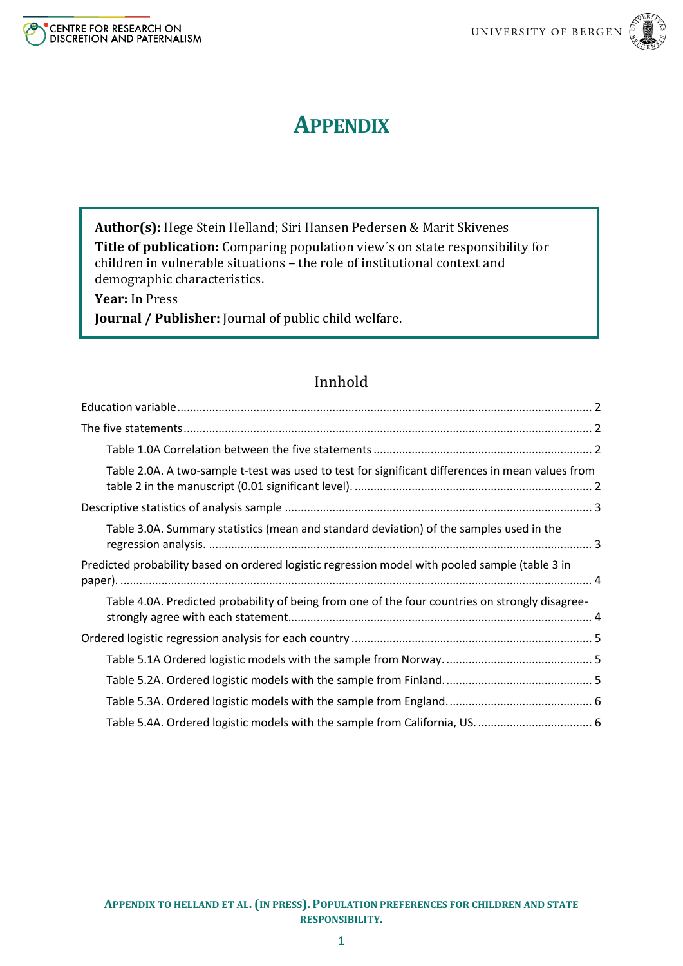

# **APPENDIX**

**Author(s):** Hege Stein Helland; Siri Hansen Pedersen & Marit Skivenes **Title of publication:** Comparing population view´s on state responsibility for children in vulnerable situations – the role of institutional context and demographic characteristics.

**Year:** In Press

**Journal / Publisher:** Journal of public child welfare.

# Innhold

| Table 2.0A. A two-sample t-test was used to test for significant differences in mean values from |
|--------------------------------------------------------------------------------------------------|
|                                                                                                  |
| Table 3.0A. Summary statistics (mean and standard deviation) of the samples used in the          |
| Predicted probability based on ordered logistic regression model with pooled sample (table 3 in  |
| Table 4.0A. Predicted probability of being from one of the four countries on strongly disagree-  |
|                                                                                                  |
|                                                                                                  |
|                                                                                                  |
|                                                                                                  |
|                                                                                                  |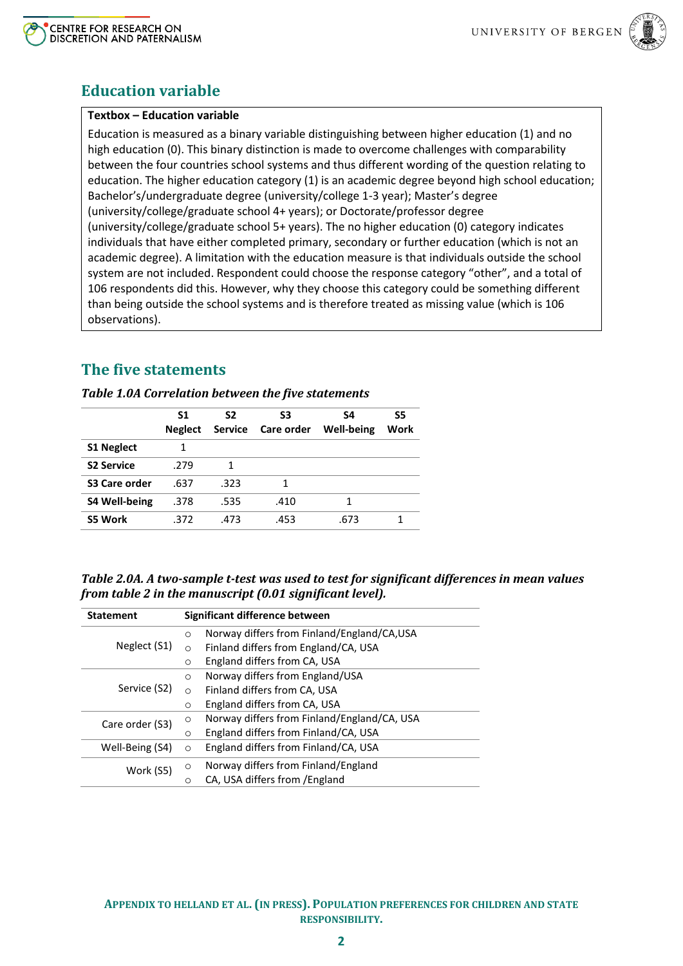



### <span id="page-1-0"></span>**Education variable**

### **Textbox – Education variable**

Education is measured as a binary variable distinguishing between higher education (1) and no high education (0). This binary distinction is made to overcome challenges with comparability between the four countries school systems and thus different wording of the question relating to education. The higher education category (1) is an academic degree beyond high school education; Bachelor's/undergraduate degree (university/college 1-3 year); Master's degree (university/college/graduate school 4+ years); or Doctorate/professor degree (university/college/graduate school 5+ years). The no higher education (0) category indicates individuals that have either completed primary, secondary or further education (which is not an academic degree). A limitation with the education measure is that individuals outside the school system are not included. Respondent could choose the response category "other", and a total of 106 respondents did this. However, why they choose this category could be something different than being outside the school systems and is therefore treated as missing value (which is 106 observations).

## <span id="page-1-1"></span>**The five statements**

#### <span id="page-1-2"></span>*Table 1.0A Correlation between the five statements*

|                      | S1<br><b>Neglect</b> | S <sub>2</sub><br><b>Service</b> | S3<br>Care order | S4<br><b>Well-being</b> | S5<br>Work |
|----------------------|----------------------|----------------------------------|------------------|-------------------------|------------|
| <b>S1 Neglect</b>    | 1                    |                                  |                  |                         |            |
| <b>S2 Service</b>    | .279                 | 1                                |                  |                         |            |
| S3 Care order        | .637                 | .323                             | 1                |                         |            |
| <b>S4 Well-being</b> | .378                 | .535                             | .410             | 1                       |            |
| S5 Work              | .372                 | .473                             | .453             | .673                    |            |

#### <span id="page-1-3"></span>*Table 2.0A. A two-sample t-test was used to test for significant differences in mean values from table 2 in the manuscript (0.01 significant level).*

| <b>Statement</b> |          | Significant difference between              |
|------------------|----------|---------------------------------------------|
|                  | $\circ$  | Norway differs from Finland/England/CA,USA  |
| Neglect (S1)     | $\Omega$ | Finland differs from England/CA, USA        |
|                  | $\circ$  | England differs from CA, USA                |
|                  | $\circ$  | Norway differs from England/USA             |
| Service (S2)     | $\circ$  | Finland differs from CA, USA                |
|                  | $\circ$  | England differs from CA, USA                |
| Care order (S3)  | $\circ$  | Norway differs from Finland/England/CA, USA |
|                  | $\circ$  | England differs from Finland/CA, USA        |
| Well-Being (S4)  | $\circ$  | England differs from Finland/CA, USA        |
| Work (S5)        | $\circ$  | Norway differs from Finland/England         |
|                  | O        | CA, USA differs from / England              |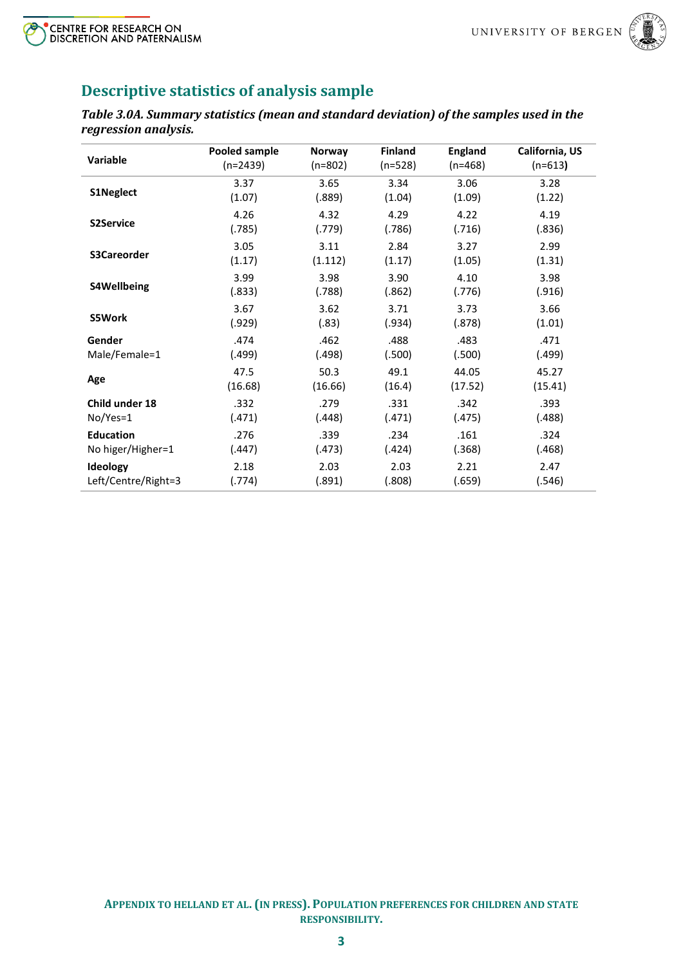



# <span id="page-2-0"></span>**Descriptive statistics of analysis sample**

<span id="page-2-1"></span>*Table 3.0A. Summary statistics (mean and standard deviation) of the samples used in the regression analysis.*

| Variable            | Pooled sample | <b>Norway</b> | <b>Finland</b> | <b>England</b> | California, US |
|---------------------|---------------|---------------|----------------|----------------|----------------|
|                     | $(n=2439)$    | $(n=802)$     | (n=528)        | $(n=468)$      | $(n=613)$      |
| <b>S1Neglect</b>    | 3.37          | 3.65          | 3.34           | 3.06           | 3.28           |
|                     | (1.07)        | (.889)        | (1.04)         | (1.09)         | (1.22)         |
| <b>S2Service</b>    | 4.26          | 4.32          | 4.29           | 4.22           | 4.19           |
|                     | (.785)        | (.779)        | (.786)         | (.716)         | (.836)         |
| S3Careorder         | 3.05          | 3.11          | 2.84           | 3.27           | 2.99           |
|                     | (1.17)        | (1.112)       | (1.17)         | (1.05)         | (1.31)         |
| S4Wellbeing         | 3.99          | 3.98          | 3.90           | 4.10           | 3.98           |
|                     | (.833)        | (.788)        | (.862)         | (.776)         | (.916)         |
| <b>S5Work</b>       | 3.67          | 3.62          | 3.71           | 3.73           | 3.66           |
|                     | (.929)        | (.83)         | (.934)         | (.878)         | (1.01)         |
| Gender              | .474          | .462          | .488           | .483           | .471           |
| Male/Female=1       | (.499)        | (.498)        | (.500)         | (.500)         | (.499)         |
| Age                 | 47.5          | 50.3          | 49.1           | 44.05          | 45.27          |
|                     | (16.68)       | (16.66)       | (16.4)         | (17.52)        | (15.41)        |
| Child under 18      | .332          | .279          | .331           | .342           | .393           |
| No/Yes=1            | (.471)        | (.448)        | (.471)         | (.475)         | (.488)         |
| <b>Education</b>    | .276          | .339          | .234           | .161           | .324           |
| No higer/Higher=1   | (.447)        | (.473)        | (.424)         | (.368)         | (.468)         |
| Ideology            | 2.18          | 2.03          | 2.03           | 2.21           | 2.47           |
| Left/Centre/Right=3 | (.774)        | (.891)        | (.808)         | (.659)         | (.546)         |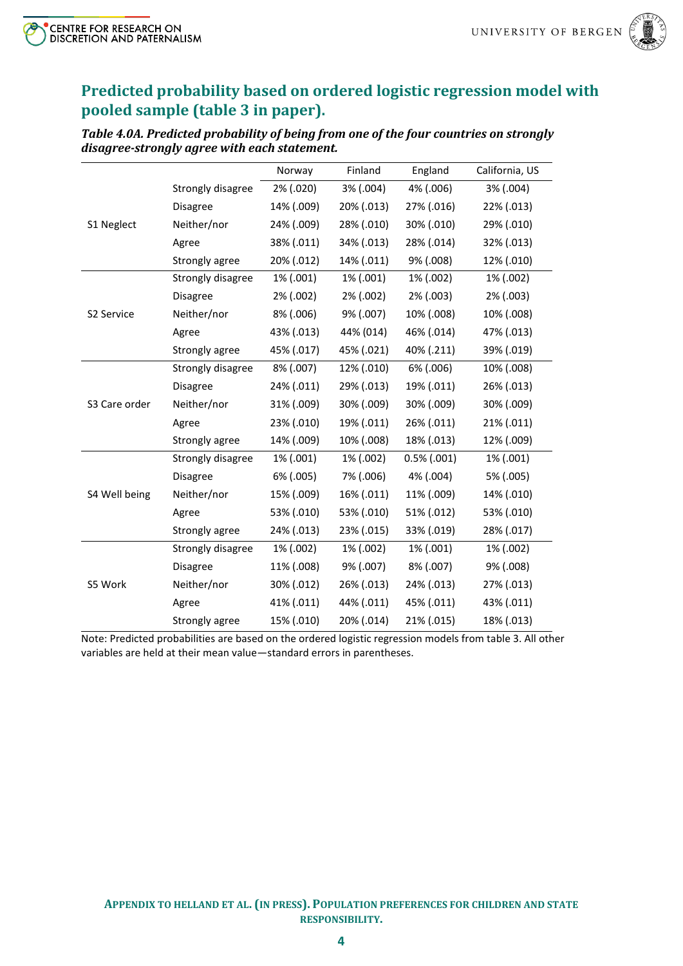

# <span id="page-3-0"></span>**Predicted probability based on ordered logistic regression model with pooled sample (table 3 in paper).**

<span id="page-3-1"></span>*Table 4.0A. Predicted probability of being from one of the four countries on strongly disagree-strongly agree with each statement.*

|               |                   | Norway     | Finland    | England        | California, US |
|---------------|-------------------|------------|------------|----------------|----------------|
|               | Strongly disagree | 2% (.020)  | 3% (.004)  | 4% (.006)      | 3% (.004)      |
|               | Disagree          | 14% (.009) | 20% (.013) | 27% (.016)     | 22% (.013)     |
| S1 Neglect    | Neither/nor       | 24% (.009) | 28% (.010) | 30% (.010)     | 29% (.010)     |
|               | Agree             | 38% (.011) | 34% (.013) | 28% (.014)     | 32% (.013)     |
|               | Strongly agree    | 20% (.012) | 14% (.011) | 9% (.008)      | 12% (.010)     |
|               | Strongly disagree | 1% (.001)  | 1% (.001)  | 1% (.002)      | 1% (.002)      |
|               | <b>Disagree</b>   | 2% (.002)  | 2% (.002)  | 2% (.003)      | 2% (.003)      |
| S2 Service    | Neither/nor       | 8% (.006)  | 9% (.007)  | 10% (.008)     | 10% (.008)     |
|               | Agree             | 43% (.013) | 44% (014)  | 46% (.014)     | 47% (.013)     |
|               | Strongly agree    | 45% (.017) | 45% (.021) | 40% (.211)     | 39% (.019)     |
|               | Strongly disagree | 8% (.007)  | 12% (.010) | 6% (.006)      | 10% (.008)     |
|               | Disagree          | 24% (.011) | 29% (.013) | 19% (.011)     | 26% (.013)     |
| S3 Care order | Neither/nor       | 31% (.009) | 30% (.009) | 30% (.009)     | 30% (.009)     |
|               | Agree             | 23% (.010) | 19% (.011) | 26% (.011)     | 21% (.011)     |
|               | Strongly agree    | 14% (.009) | 10% (.008) | 18% (.013)     | 12% (.009)     |
|               | Strongly disagree | 1% (.001)  | 1% (.002)  | $0.5\%$ (.001) | 1% (.001)      |
|               | Disagree          | 6% (.005)  | 7% (.006)  | 4% (.004)      | 5% (.005)      |
| S4 Well being | Neither/nor       | 15% (.009) | 16% (.011) | 11% (.009)     | 14% (.010)     |
|               | Agree             | 53% (.010) | 53% (.010) | 51% (.012)     | 53% (.010)     |
|               | Strongly agree    | 24% (.013) | 23% (.015) | 33% (.019)     | 28% (.017)     |
|               | Strongly disagree | 1% (.002)  | 1% (.002)  | 1% (.001)      | 1% (.002)      |
|               | Disagree          | 11% (.008) | 9% (.007)  | 8% (.007)      | 9% (.008)      |
| S5 Work       | Neither/nor       | 30% (.012) | 26% (.013) | 24% (.013)     | 27% (.013)     |
|               | Agree             | 41% (.011) | 44% (.011) | 45% (.011)     | 43% (.011)     |
|               | Strongly agree    | 15% (.010) | 20% (.014) | 21% (.015)     | 18% (.013)     |

Note: Predicted probabilities are based on the ordered logistic regression models from table 3. All other variables are held at their mean value—standard errors in parentheses.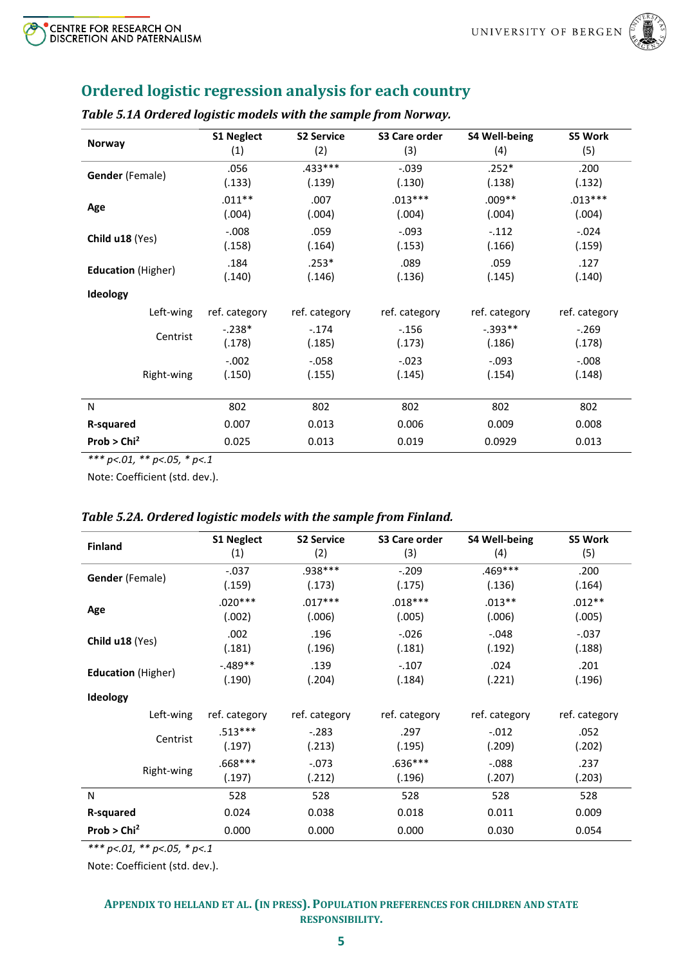

# <span id="page-4-0"></span>**Ordered logistic regression analysis for each country**

|                           | <b>S1 Neglect</b> | <b>S2 Service</b> | S3 Care order | <b>S4 Well-being</b> | <b>S5 Work</b> |
|---------------------------|-------------------|-------------------|---------------|----------------------|----------------|
| <b>Norway</b>             | (1)               | (2)               | (3)           | (4)                  | (5)            |
| Gender (Female)           | .056              | $.433***$         | $-0.039$      | $.252*$              | .200           |
|                           | (.133)            | (.139)            | (.130)        | (.138)               | (.132)         |
| Age                       | $.011***$         | .007              | $.013***$     | $.009**$             | $.013***$      |
|                           | (.004)            | (.004)            | (.004)        | (.004)               | (.004)         |
| Child u18 (Yes)           | $-0.008$          | .059              | $-.093$       | $-112$               | $-.024$        |
|                           | (.158)            | (.164)            | (.153)        | (.166)               | (.159)         |
| <b>Education</b> (Higher) | .184              | $.253*$           | .089          | .059                 | .127           |
|                           | (.140)            | (.146)            | (.136)        | (.145)               | (.140)         |
| Ideology                  |                   |                   |               |                      |                |
| Left-wing                 | ref. category     | ref. category     | ref. category | ref. category        | ref. category  |
| Centrist                  | $-.238*$          | $-.174$           | $-156$        | $-0.393**$           | $-269$         |
|                           | (.178)            | (.185)            | (.173)        | (.186)               | (.178)         |
|                           | $-.002$           | $-.058$           | $-.023$       | $-.093$              | $-0.008$       |
| Right-wing                | (.150)            | (.155)            | (.145)        | (.154)               | (.148)         |
|                           |                   |                   |               |                      |                |
| N                         | 802               | 802               | 802           | 802                  | 802            |
| R-squared                 | 0.007             | 0.013             | 0.006         | 0.009                | 0.008          |
| Prob $>$ Chi <sup>2</sup> | 0.025             | 0.013             | 0.019         | 0.0929               | 0.013          |

### <span id="page-4-1"></span>*Table 5.1A Ordered logistic models with the sample from Norway.*

*\*\*\* p<.01, \*\* p<.05, \* p<.1*

Note: Coefficient (std. dev.).

### <span id="page-4-2"></span>*Table 5.2A. Ordered logistic models with the sample from Finland.*

| <b>Finland</b>            | <b>S1 Neglect</b> | <b>S2 Service</b> | S3 Care order | <b>S4 Well-being</b> | S5 Work       |
|---------------------------|-------------------|-------------------|---------------|----------------------|---------------|
|                           | (1)               | (2)               | (3)           | (4)                  | (5)           |
| Gender (Female)           | $-.037$           | .938***           | $-.209$       | $.469***$            | .200          |
|                           | (.159)            | (.173)            | (.175)        | (.136)               | (.164)        |
| Age                       | $.020***$         | $.017***$         | $.018***$     | $.013**$             | $.012**$      |
|                           | (.002)            | (.006)            | (.005)        | (.006)               | (.005)        |
| Child u18 (Yes)           | .002              | .196              | $-0.026$      | $-.048$              | $-.037$       |
|                           | (.181)            | (.196)            | (.181)        | (.192)               | (.188)        |
| <b>Education</b> (Higher) | $-0.489**$        | .139              | $-.107$       | .024                 | .201          |
|                           | (.190)            | (.204)            | (.184)        | (.221)               | (.196)        |
| <b>Ideology</b>           |                   |                   |               |                      |               |
| Left-wing                 | ref. category     | ref. category     | ref. category | ref. category        | ref. category |
| Centrist                  | $.513***$         | $-283$            | .297          | $-.012$              | .052          |
|                           | (.197)            | (.213)            | (.195)        | (.209)               | (.202)        |
| Right-wing                | $.668***$         | $-.073$           | $.636***$     | $-0.088$             | .237          |
|                           | (.197)            | (.212)            | (.196)        | (.207)               | (.203)        |
| N                         | 528               | 528               | 528           | 528                  | 528           |
| <b>R-squared</b>          | 0.024             | 0.038             | 0.018         | 0.011                | 0.009         |
| Prob $>$ Chi <sup>2</sup> | 0.000             | 0.000             | 0.000         | 0.030                | 0.054         |

*\*\*\* p<.01, \*\* p<.05, \* p<.1*

Note: Coefficient (std. dev.).